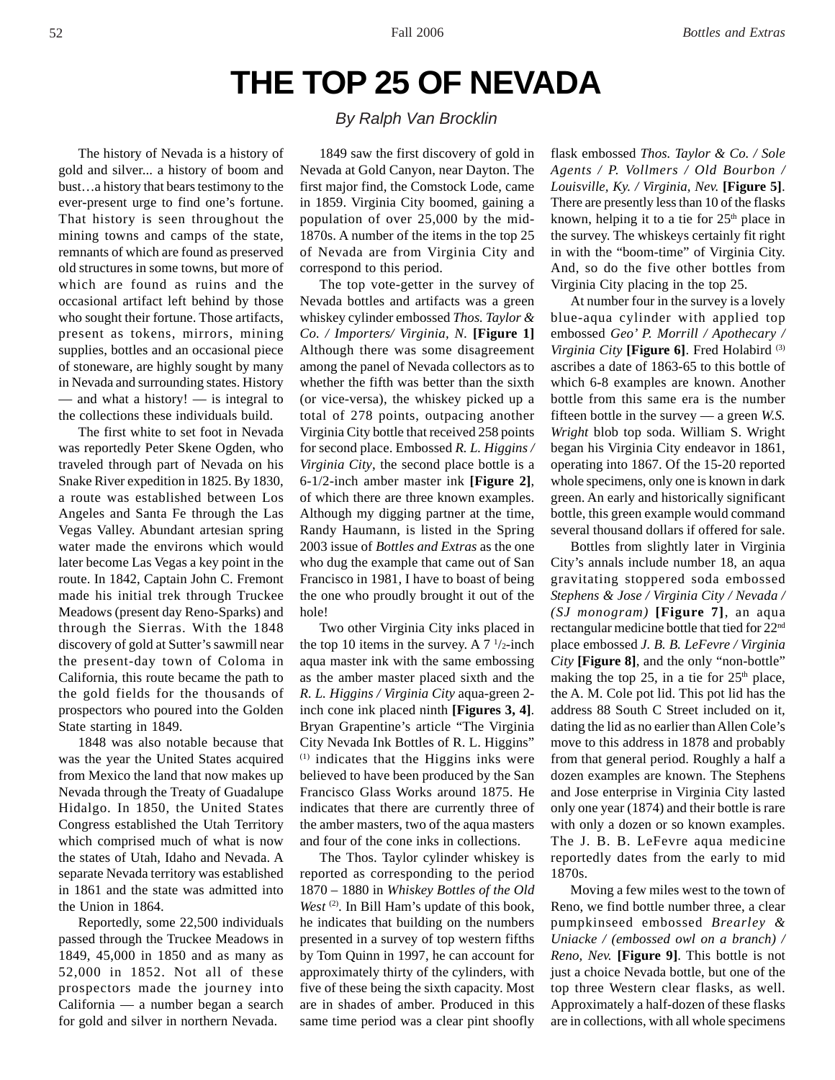# **THE TOP 25 OF NEVADA**

The history of Nevada is a history of gold and silver... a history of boom and bust…a history that bears testimony to the ever-present urge to find one's fortune. That history is seen throughout the mining towns and camps of the state, remnants of which are found as preserved old structures in some towns, but more of which are found as ruins and the occasional artifact left behind by those who sought their fortune. Those artifacts, present as tokens, mirrors, mining supplies, bottles and an occasional piece of stoneware, are highly sought by many in Nevada and surrounding states. History — and what a history! — is integral to the collections these individuals build.

The first white to set foot in Nevada was reportedly Peter Skene Ogden, who traveled through part of Nevada on his Snake River expedition in 1825. By 1830, a route was established between Los Angeles and Santa Fe through the Las Vegas Valley. Abundant artesian spring water made the environs which would later become Las Vegas a key point in the route. In 1842, Captain John C. Fremont made his initial trek through Truckee Meadows (present day Reno-Sparks) and through the Sierras. With the 1848 discovery of gold at Sutter's sawmill near the present-day town of Coloma in California, this route became the path to the gold fields for the thousands of prospectors who poured into the Golden State starting in 1849.

1848 was also notable because that was the year the United States acquired from Mexico the land that now makes up Nevada through the Treaty of Guadalupe Hidalgo. In 1850, the United States Congress established the Utah Territory which comprised much of what is now the states of Utah, Idaho and Nevada. A separate Nevada territory was established in 1861 and the state was admitted into the Union in 1864.

Reportedly, some 22,500 individuals passed through the Truckee Meadows in 1849, 45,000 in 1850 and as many as 52,000 in 1852. Not all of these prospectors made the journey into California — a number began a search for gold and silver in northern Nevada.

# *By Ralph Van Brocklin*

1849 saw the first discovery of gold in Nevada at Gold Canyon, near Dayton. The first major find, the Comstock Lode, came in 1859. Virginia City boomed, gaining a population of over 25,000 by the mid-1870s. A number of the items in the top 25 of Nevada are from Virginia City and correspond to this period.

The top vote-getter in the survey of Nevada bottles and artifacts was a green whiskey cylinder embossed *Thos. Taylor & Co. / Importers/ Virginia, N.* **[Figure 1]** Although there was some disagreement among the panel of Nevada collectors as to whether the fifth was better than the sixth (or vice-versa), the whiskey picked up a total of 278 points, outpacing another Virginia City bottle that received 258 points for second place. Embossed *R. L. Higgins / Virginia City*, the second place bottle is a 6-1/2-inch amber master ink **[Figure 2]**, of which there are three known examples. Although my digging partner at the time, Randy Haumann, is listed in the Spring 2003 issue of *Bottles and Extras* as the one who dug the example that came out of San Francisco in 1981, I have to boast of being the one who proudly brought it out of the hole!

Two other Virginia City inks placed in the top 10 items in the survey. A  $7\frac{1}{2}$ -inch aqua master ink with the same embossing as the amber master placed sixth and the *R. L. Higgins / Virginia City* aqua-green 2 inch cone ink placed ninth **[Figures 3, 4]**. Bryan Grapentine's article "The Virginia City Nevada Ink Bottles of R. L. Higgins" (1) indicates that the Higgins inks were believed to have been produced by the San Francisco Glass Works around 1875. He indicates that there are currently three of the amber masters, two of the aqua masters and four of the cone inks in collections.

The Thos. Taylor cylinder whiskey is reported as corresponding to the period 1870 – 1880 in *Whiskey Bottles of the Old West*<sup>(2)</sup>. In Bill Ham's update of this book, he indicates that building on the numbers presented in a survey of top western fifths by Tom Quinn in 1997, he can account for approximately thirty of the cylinders, with five of these being the sixth capacity. Most are in shades of amber. Produced in this same time period was a clear pint shoofly

flask embossed *Thos. Taylor & Co. / Sole Agents / P. Vollmers / Old Bourbon / Louisville, Ky. / Virginia, Nev.* **[Figure 5]**. There are presently less than 10 of the flasks known, helping it to a tie for  $25<sup>th</sup>$  place in the survey. The whiskeys certainly fit right in with the "boom-time" of Virginia City. And, so do the five other bottles from Virginia City placing in the top 25.

At number four in the survey is a lovely blue-aqua cylinder with applied top embossed *Geo' P. Morrill / Apothecary / Virginia City* **[Figure 6]**. Fred Holabird (3) ascribes a date of 1863-65 to this bottle of which 6-8 examples are known. Another bottle from this same era is the number fifteen bottle in the survey — a green *W.S. Wright* blob top soda. William S. Wright began his Virginia City endeavor in 1861, operating into 1867. Of the 15-20 reported whole specimens, only one is known in dark green. An early and historically significant bottle, this green example would command several thousand dollars if offered for sale.

Bottles from slightly later in Virginia City's annals include number 18, an aqua gravitating stoppered soda embossed *Stephens & Jose / Virginia City / Nevada / (SJ monogram)* **[Figure 7]**, an aqua rectangular medicine bottle that tied for 22nd place embossed *J. B. B. LeFevre / Virginia City* **[Figure 8]**, and the only "non-bottle" making the top 25, in a tie for  $25<sup>th</sup>$  place, the A. M. Cole pot lid. This pot lid has the address 88 South C Street included on it, dating the lid as no earlier than Allen Cole's move to this address in 1878 and probably from that general period. Roughly a half a dozen examples are known. The Stephens and Jose enterprise in Virginia City lasted only one year (1874) and their bottle is rare with only a dozen or so known examples. The J. B. B. LeFevre aqua medicine reportedly dates from the early to mid 1870s.

Moving a few miles west to the town of Reno, we find bottle number three, a clear pumpkinseed embossed *Brearley & Uniacke / (embossed owl on a branch) / Reno, Nev.* **[Figure 9]**. This bottle is not just a choice Nevada bottle, but one of the top three Western clear flasks, as well. Approximately a half-dozen of these flasks are in collections, with all whole specimens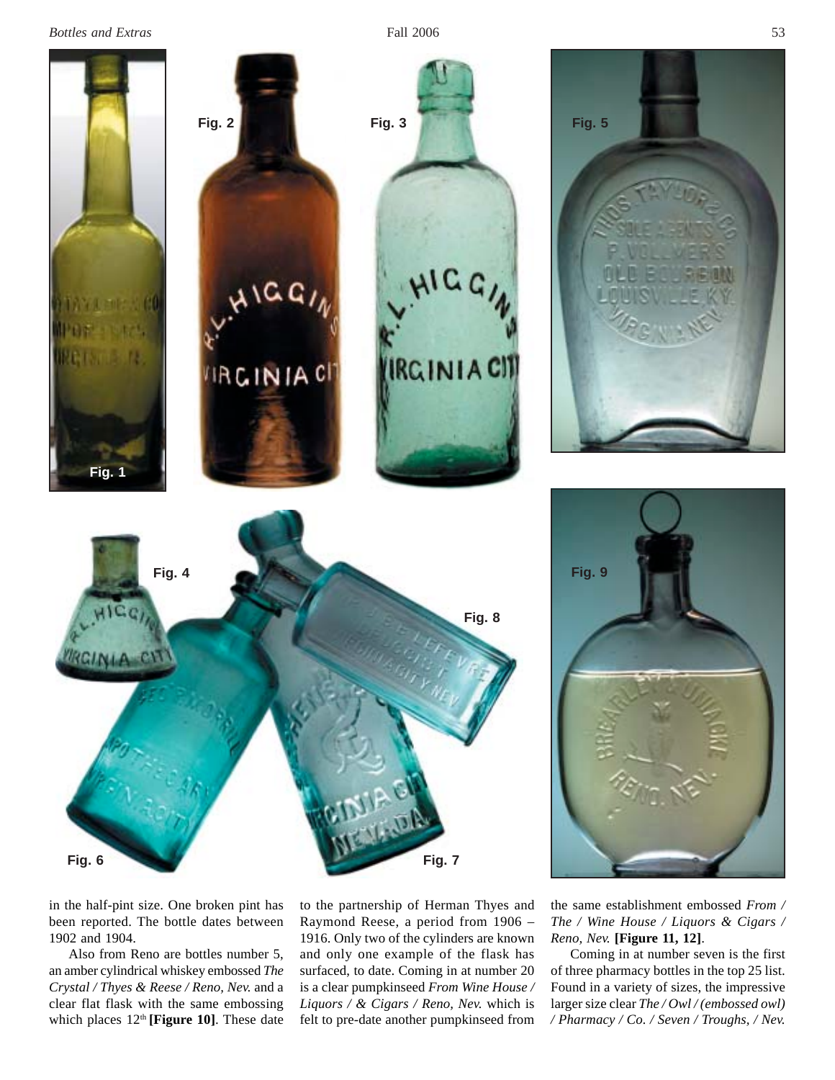*Bottles and Extras* 53



in the half-pint size. One broken pint has been reported. The bottle dates between 1902 and 1904.

Also from Reno are bottles number 5, an amber cylindrical whiskey embossed *The Crystal / Thyes & Reese / Reno, Nev.* and a clear flat flask with the same embossing which places  $12<sup>th</sup>$  [Figure 10]. These date

to the partnership of Herman Thyes and Raymond Reese, a period from 1906 – 1916. Only two of the cylinders are known and only one example of the flask has surfaced, to date. Coming in at number 20 is a clear pumpkinseed *From Wine House / Liquors / & Cigars / Reno, Nev.* which is felt to pre-date another pumpkinseed from

the same establishment embossed *From / The / Wine House / Liquors & Cigars / Reno, Nev.* **[Figure 11, 12]**.

Coming in at number seven is the first of three pharmacy bottles in the top 25 list. Found in a variety of sizes, the impressive larger size clear *The / Owl / (embossed owl) / Pharmacy / Co. / Seven / Troughs, / Nev.*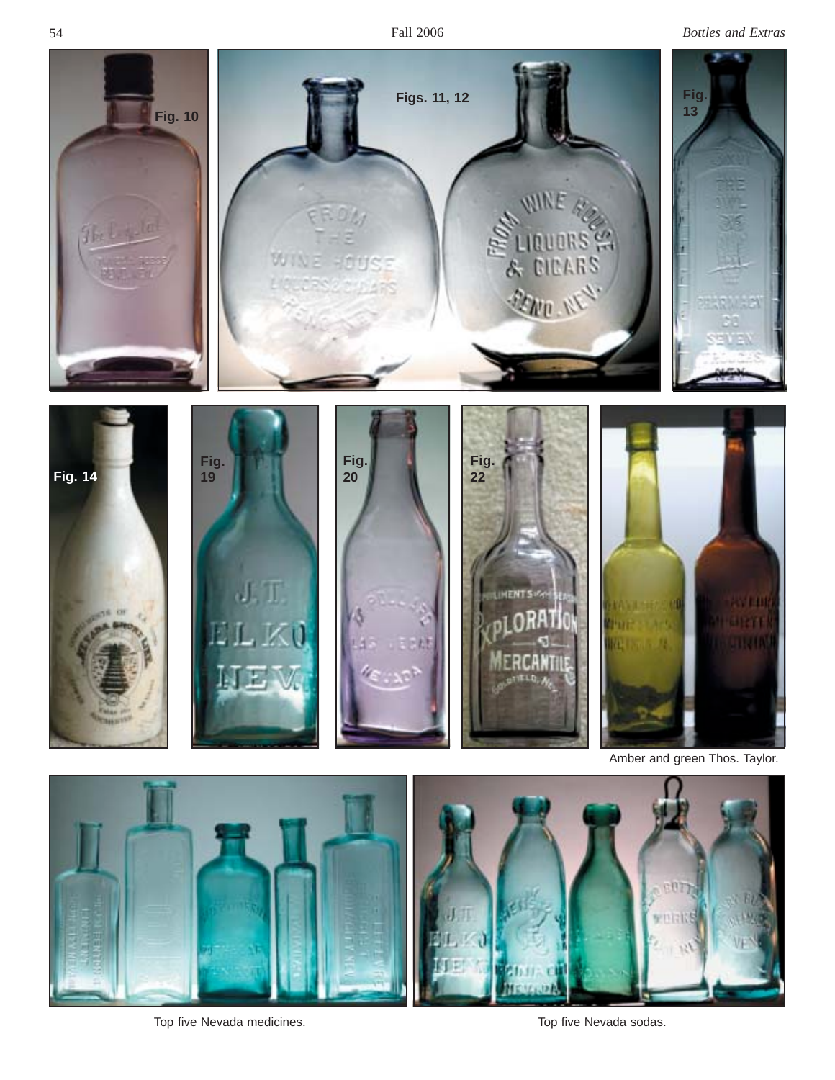

Top five Nevada medicines. Top five Nevada sodas.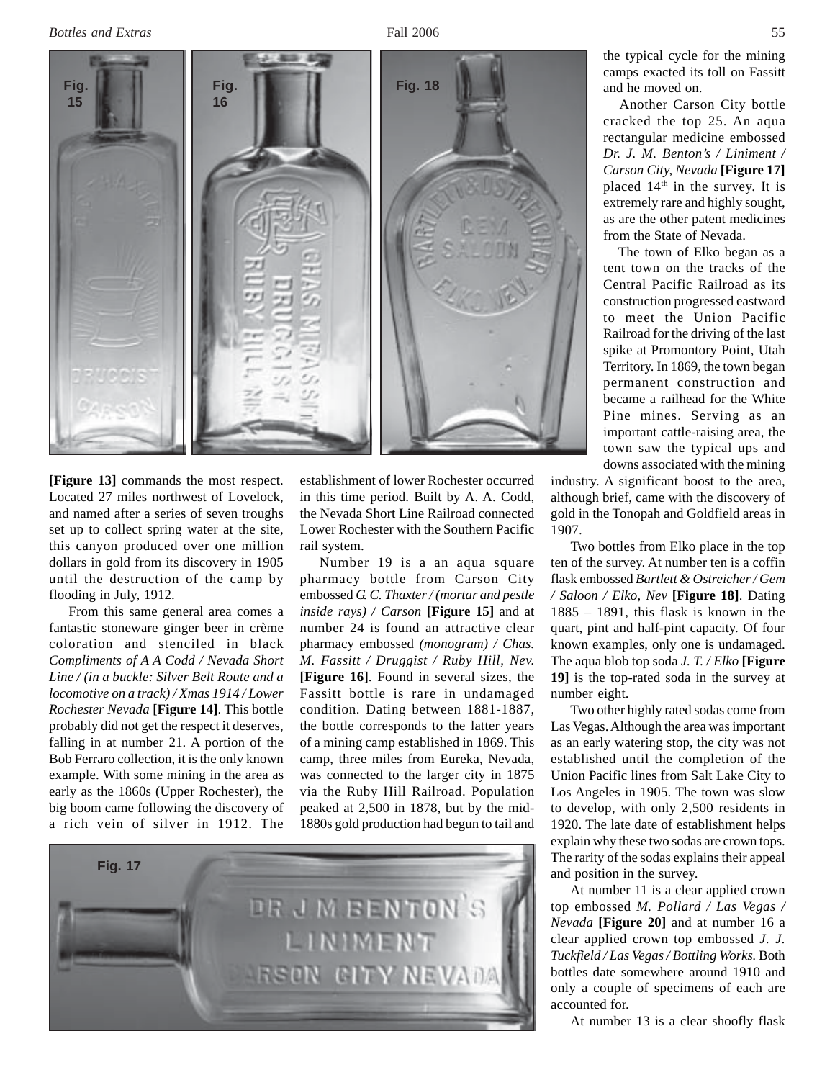*Bottles and Extras* 55

**Fig. 15 Fig. 16 Fig. 18**

**[Figure 13]** commands the most respect. Located 27 miles northwest of Lovelock, and named after a series of seven troughs set up to collect spring water at the site, this canyon produced over one million dollars in gold from its discovery in 1905 until the destruction of the camp by flooding in July, 1912.

From this same general area comes a fantastic stoneware ginger beer in crème coloration and stenciled in black *Compliments of A A Codd / Nevada Short Line / (in a buckle: Silver Belt Route and a locomotive on a track) / Xmas 1914 / Lower Rochester Nevada* **[Figure 14]**. This bottle probably did not get the respect it deserves, falling in at number 21. A portion of the Bob Ferraro collection, it is the only known example. With some mining in the area as early as the 1860s (Upper Rochester), the big boom came following the discovery of a rich vein of silver in 1912. The

establishment of lower Rochester occurred in this time period. Built by A. A. Codd, the Nevada Short Line Railroad connected Lower Rochester with the Southern Pacific rail system.

Number 19 is a an aqua square pharmacy bottle from Carson City embossed *G. C. Thaxter / (mortar and pestle inside rays) / Carson* **[Figure 15]** and at number 24 is found an attractive clear pharmacy embossed *(monogram) / Chas. M. Fassitt / Druggist / Ruby Hill, Nev.* **[Figure 16]**. Found in several sizes, the Fassitt bottle is rare in undamaged condition. Dating between 1881-1887, the bottle corresponds to the latter years of a mining camp established in 1869. This camp, three miles from Eureka, Nevada, was connected to the larger city in 1875 via the Ruby Hill Railroad. Population peaked at 2,500 in 1878, but by the mid-1880s gold production had begun to tail and



the typical cycle for the mining camps exacted its toll on Fassitt and he moved on.

 Another Carson City bottle cracked the top 25. An aqua rectangular medicine embossed *Dr. J. M. Benton's / Liniment / Carson City, Nevada* **[Figure 17]** placed 14<sup>th</sup> in the survey. It is extremely rare and highly sought, as are the other patent medicines from the State of Nevada.

 The town of Elko began as a tent town on the tracks of the Central Pacific Railroad as its construction progressed eastward to meet the Union Pacific Railroad for the driving of the last spike at Promontory Point, Utah Territory. In 1869, the town began permanent construction and became a railhead for the White Pine mines. Serving as an important cattle-raising area, the town saw the typical ups and downs associated with the mining

industry. A significant boost to the area, although brief, came with the discovery of gold in the Tonopah and Goldfield areas in 1907.

Two bottles from Elko place in the top ten of the survey. At number ten is a coffin flask embossed *Bartlett & Ostreicher / Gem / Saloon / Elko, Nev* **[Figure 18]**. Dating 1885 – 1891, this flask is known in the quart, pint and half-pint capacity. Of four known examples, only one is undamaged. The aqua blob top soda *J. T. / Elko* **[Figure 19]** is the top-rated soda in the survey at number eight.

Two other highly rated sodas come from Las Vegas. Although the area was important as an early watering stop, the city was not established until the completion of the Union Pacific lines from Salt Lake City to Los Angeles in 1905. The town was slow to develop, with only 2,500 residents in 1920. The late date of establishment helps explain why these two sodas are crown tops. The rarity of the sodas explains their appeal and position in the survey.

At number 11 is a clear applied crown top embossed *M. Pollard / Las Vegas / Nevada* **[Figure 20]** and at number 16 a clear applied crown top embossed *J. J. Tuckfield / Las Vegas / Bottling Works.* Both bottles date somewhere around 1910 and only a couple of specimens of each are accounted for.

At number 13 is a clear shoofly flask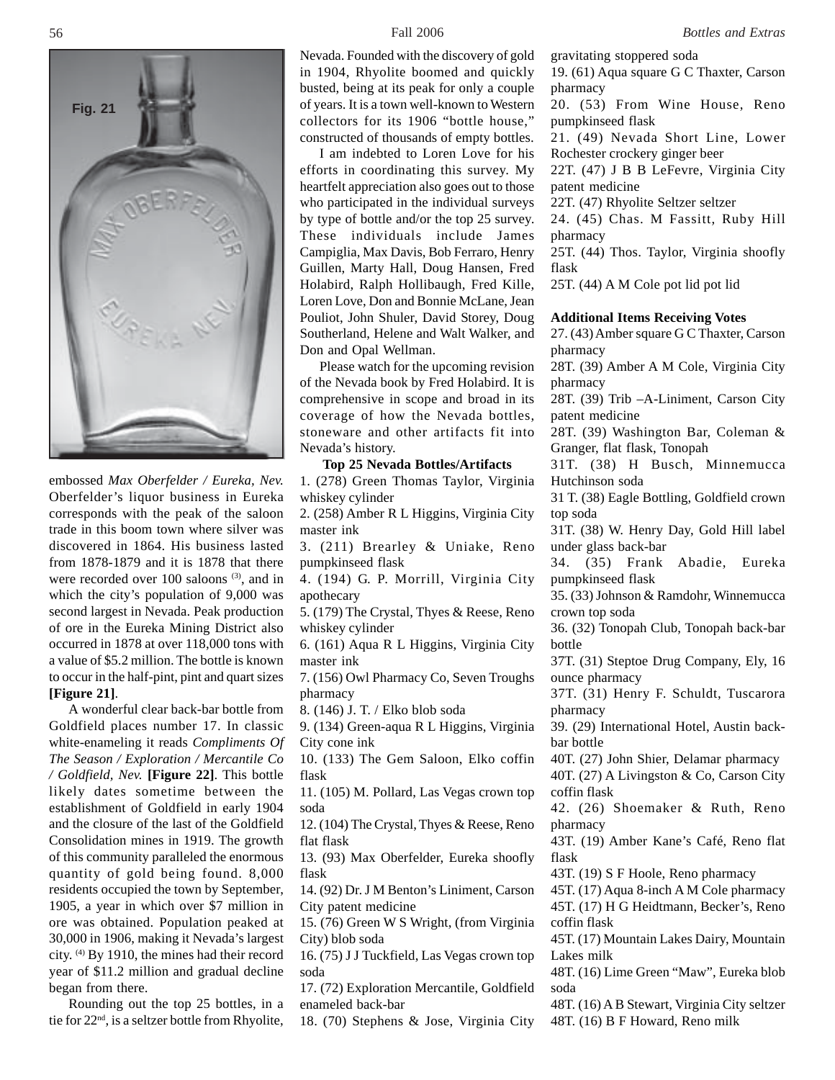

embossed *Max Oberfelder / Eureka, Nev.* Oberfelder's liquor business in Eureka corresponds with the peak of the saloon trade in this boom town where silver was discovered in 1864. His business lasted from 1878-1879 and it is 1878 that there were recorded over 100 saloons (3), and in which the city's population of 9,000 was second largest in Nevada. Peak production of ore in the Eureka Mining District also occurred in 1878 at over 118,000 tons with a value of \$5.2 million. The bottle is known to occur in the half-pint, pint and quart sizes **[Figure 21]**.

A wonderful clear back-bar bottle from Goldfield places number 17. In classic white-enameling it reads *Compliments Of The Season / Exploration / Mercantile Co / Goldfield, Nev.* **[Figure 22]**. This bottle likely dates sometime between the establishment of Goldfield in early 1904 and the closure of the last of the Goldfield Consolidation mines in 1919. The growth of this community paralleled the enormous quantity of gold being found. 8,000 residents occupied the town by September, 1905, a year in which over \$7 million in ore was obtained. Population peaked at 30,000 in 1906, making it Nevada's largest city. (4) By 1910, the mines had their record year of \$11.2 million and gradual decline began from there.

Rounding out the top 25 bottles, in a tie for 22nd, is a seltzer bottle from Rhyolite,

Nevada. Founded with the discovery of gold in 1904, Rhyolite boomed and quickly busted, being at its peak for only a couple of years. It is a town well-known to Western collectors for its 1906 "bottle house," constructed of thousands of empty bottles.

I am indebted to Loren Love for his efforts in coordinating this survey. My heartfelt appreciation also goes out to those who participated in the individual surveys by type of bottle and/or the top 25 survey. These individuals include James Campiglia, Max Davis, Bob Ferraro, Henry Guillen, Marty Hall, Doug Hansen, Fred Holabird, Ralph Hollibaugh, Fred Kille, Loren Love, Don and Bonnie McLane, Jean Pouliot, John Shuler, David Storey, Doug Southerland, Helene and Walt Walker, and Don and Opal Wellman.

Please watch for the upcoming revision of the Nevada book by Fred Holabird. It is comprehensive in scope and broad in its coverage of how the Nevada bottles, stoneware and other artifacts fit into Nevada's history.

#### **Top 25 Nevada Bottles/Artifacts**

1. (278) Green Thomas Taylor, Virginia whiskey cylinder

2. (258) Amber R L Higgins, Virginia City master ink

3. (211) Brearley & Uniake, Reno pumpkinseed flask

4. (194) G. P. Morrill, Virginia City apothecary

5. (179) The Crystal, Thyes & Reese, Reno whiskey cylinder

6. (161) Aqua R L Higgins, Virginia City master ink

7. (156) Owl Pharmacy Co, Seven Troughs pharmacy

8. (146) J. T. / Elko blob soda

9. (134) Green-aqua R L Higgins, Virginia City cone ink

10. (133) The Gem Saloon, Elko coffin flask

11. (105) M. Pollard, Las Vegas crown top soda

12. (104) The Crystal, Thyes & Reese, Reno flat flask

13. (93) Max Oberfelder, Eureka shoofly flask

14. (92) Dr. J M Benton's Liniment, Carson City patent medicine

15. (76) Green W S Wright, (from Virginia City) blob soda

16. (75) J J Tuckfield, Las Vegas crown top soda

17. (72) Exploration Mercantile, Goldfield enameled back-bar

18. (70) Stephens & Jose, Virginia City

gravitating stoppered soda 19. (61) Aqua square G C Thaxter, Carson pharmacy

20. (53) From Wine House, Reno pumpkinseed flask

21. (49) Nevada Short Line, Lower Rochester crockery ginger beer

22T. (47) J B B LeFevre, Virginia City patent medicine

22T. (47) Rhyolite Seltzer seltzer

24. (45) Chas. M Fassitt, Ruby Hill pharmacy

25T. (44) Thos. Taylor, Virginia shoofly flask

25T. (44) A M Cole pot lid pot lid

#### **Additional Items Receiving Votes**

27. (43) Amber square G C Thaxter, Carson pharmacy

28T. (39) Amber A M Cole, Virginia City pharmacy

28T. (39) Trib –A-Liniment, Carson City patent medicine

28T. (39) Washington Bar, Coleman & Granger, flat flask, Tonopah

31T. (38) H Busch, Minnemucca Hutchinson soda

31 T. (38) Eagle Bottling, Goldfield crown top soda

31T. (38) W. Henry Day, Gold Hill label under glass back-bar

34. (35) Frank Abadie, Eureka pumpkinseed flask

35. (33) Johnson & Ramdohr, Winnemucca crown top soda

36. (32) Tonopah Club, Tonopah back-bar bottle

37T. (31) Steptoe Drug Company, Ely, 16 ounce pharmacy

37T. (31) Henry F. Schuldt, Tuscarora pharmacy

39. (29) International Hotel, Austin backbar bottle

40T. (27) John Shier, Delamar pharmacy

40T. (27) A Livingston & Co, Carson City coffin flask

42. (26) Shoemaker & Ruth, Reno pharmacy

43T. (19) Amber Kane's Café, Reno flat flask

43T. (19) S F Hoole, Reno pharmacy

45T. (17) Aqua 8-inch A M Cole pharmacy 45T. (17) H G Heidtmann, Becker's, Reno coffin flask

45T. (17) Mountain Lakes Dairy, Mountain Lakes milk

48T. (16) Lime Green "Maw", Eureka blob soda

48T. (16) A B Stewart, Virginia City seltzer 48T. (16) B F Howard, Reno milk